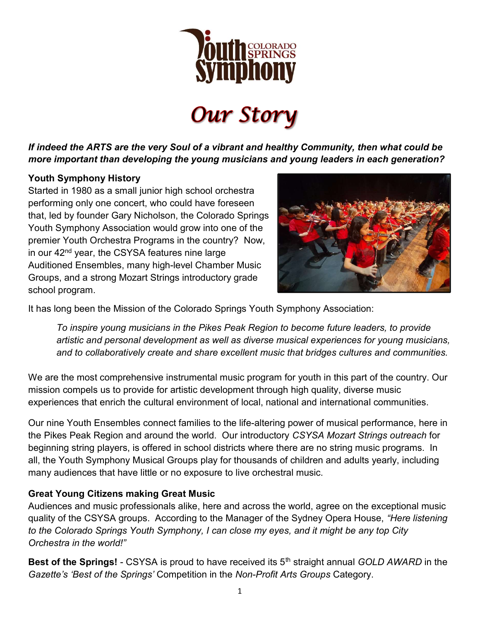

**Our Story** 

If indeed the ARTS are the very Soul of a vibrant and healthy Community, then what could be more important than developing the young musicians and young leaders in each generation?

#### Youth Symphony History

Started in 1980 as a small junior high school orchestra performing only one concert, who could have foreseen that, led by founder Gary Nicholson, the Colorado Springs Youth Symphony Association would grow into one of the premier Youth Orchestra Programs in the country? Now, in our 42<sup>nd</sup> year, the CSYSA features nine large Auditioned Ensembles, many high-level Chamber Music Groups, and a strong Mozart Strings introductory grade school program.



It has long been the Mission of the Colorado Springs Youth Symphony Association:

To inspire young musicians in the Pikes Peak Region to become future leaders, to provide artistic and personal development as well as diverse musical experiences for young musicians, and to collaboratively create and share excellent music that bridges cultures and communities.

We are the most comprehensive instrumental music program for youth in this part of the country. Our mission compels us to provide for artistic development through high quality, diverse music experiences that enrich the cultural environment of local, national and international communities.

Our nine Youth Ensembles connect families to the life-altering power of musical performance, here in the Pikes Peak Region and around the world. Our introductory CSYSA Mozart Strings outreach for beginning string players, is offered in school districts where there are no string music programs. In all, the Youth Symphony Musical Groups play for thousands of children and adults yearly, including many audiences that have little or no exposure to live orchestral music.

#### Great Young Citizens making Great Music

Audiences and music professionals alike, here and across the world, agree on the exceptional music quality of the CSYSA groups. According to the Manager of the Sydney Opera House, "Here listening to the Colorado Springs Youth Symphony, I can close my eyes, and it might be any top City Orchestra in the world!"

Best of the Springs! - CSYSA is proud to have received its  $5<sup>th</sup>$  straight annual GOLD AWARD in the Gazette's 'Best of the Springs' Competition in the Non-Profit Arts Groups Category.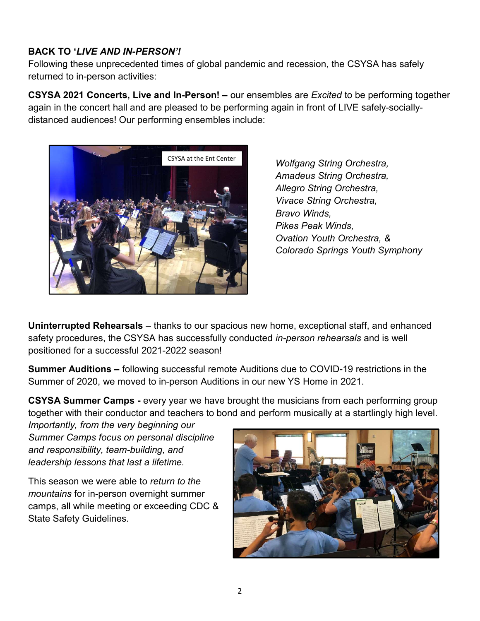### BACK TO 'LIVE AND IN-PERSON'!

Following these unprecedented times of global pandemic and recession, the CSYSA has safely returned to in-person activities:

CSYSA 2021 Concerts, Live and In-Person! – our ensembles are Excited to be performing together again in the concert hall and are pleased to be performing again in front of LIVE safely-sociallydistanced audiences! Our performing ensembles include:



Wolfgang String Orchestra, Amadeus String Orchestra, Allegro String Orchestra, Vivace String Orchestra, Bravo Winds, Pikes Peak Winds, Ovation Youth Orchestra, & Colorado Springs Youth Symphony

Uninterrupted Rehearsals – thanks to our spacious new home, exceptional staff, and enhanced safety procedures, the CSYSA has successfully conducted *in-person rehearsals* and is well positioned for a successful 2021-2022 season!

Summer Auditions – following successful remote Auditions due to COVID-19 restrictions in the Summer of 2020, we moved to in-person Auditions in our new YS Home in 2021.

CSYSA Summer Camps - every year we have brought the musicians from each performing group together with their conductor and teachers to bond and perform musically at a startlingly high level.

Importantly, from the very beginning our Summer Camps focus on personal discipline and responsibility, team-building, and leadership lessons that last a lifetime.

This season we were able to return to the mountains for in-person overnight summer camps, all while meeting or exceeding CDC & State Safety Guidelines.

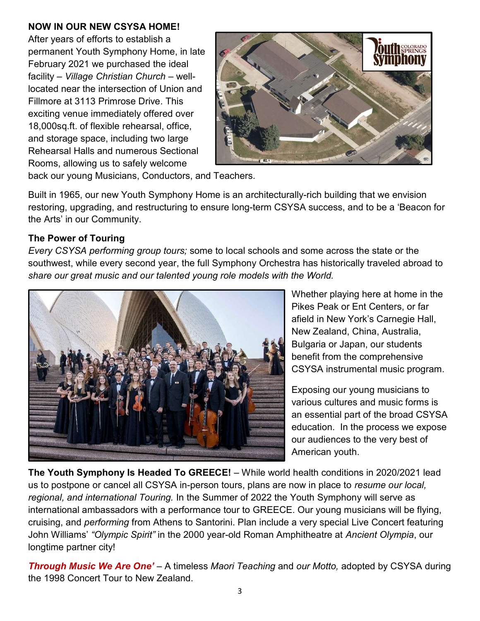#### NOW IN OUR NEW CSYSA HOME!

After years of efforts to establish a permanent Youth Symphony Home, in late February 2021 we purchased the ideal facility – Village Christian Church – welllocated near the intersection of Union and Fillmore at 3113 Primrose Drive. This exciting venue immediately offered over 18,000sq.ft. of flexible rehearsal, office, and storage space, including two large Rehearsal Halls and numerous Sectional Rooms, allowing us to safely welcome



back our young Musicians, Conductors, and Teachers.

Built in 1965, our new Youth Symphony Home is an architecturally-rich building that we envision restoring, upgrading, and restructuring to ensure long-term CSYSA success, and to be a 'Beacon for the Arts' in our Community.

#### The Power of Touring

Every CSYSA performing group tours; some to local schools and some across the state or the southwest, while every second year, the full Symphony Orchestra has historically traveled abroad to share our great music and our talented young role models with the World.



Whether playing here at home in the Pikes Peak or Ent Centers, or far afield in New York's Carnegie Hall, New Zealand, China, Australia, Bulgaria or Japan, our students benefit from the comprehensive CSYSA instrumental music program.

Exposing our young musicians to various cultures and music forms is an essential part of the broad CSYSA education. In the process we expose our audiences to the very best of American youth.

The Youth Symphony Is Headed To GREECE! – While world health conditions in 2020/2021 lead us to postpone or cancel all CSYSA in-person tours, plans are now in place to resume our local, regional, and international Touring. In the Summer of 2022 the Youth Symphony will serve as international ambassadors with a performance tour to GREECE. Our young musicians will be flying, cruising, and performing from Athens to Santorini. Plan include a very special Live Concert featuring John Williams' "Olympic Spirit" in the 2000 year-old Roman Amphitheatre at Ancient Olympia, our longtime partner city!

**Through Music We Are One'** – A timeless Maori Teaching and our Motto, adopted by CSYSA during the 1998 Concert Tour to New Zealand.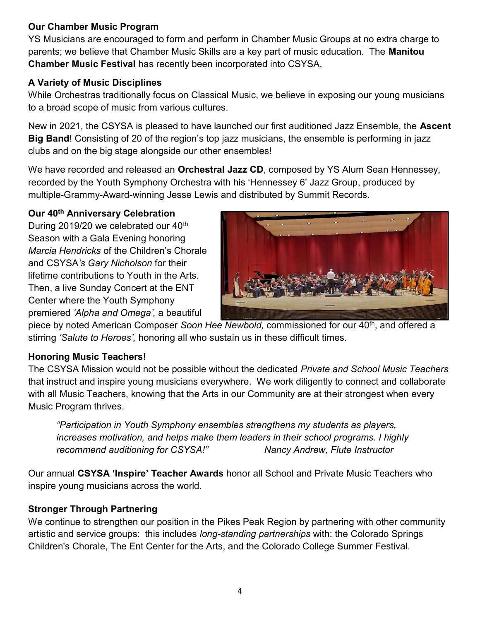#### Our Chamber Music Program

YS Musicians are encouraged to form and perform in Chamber Music Groups at no extra charge to parents; we believe that Chamber Music Skills are a key part of music education. The Manitou Chamber Music Festival has recently been incorporated into CSYSA,

### A Variety of Music Disciplines

While Orchestras traditionally focus on Classical Music, we believe in exposing our young musicians to a broad scope of music from various cultures.

New in 2021, the CSYSA is pleased to have launched our first auditioned Jazz Ensemble, the Ascent Big Band! Consisting of 20 of the region's top jazz musicians, the ensemble is performing in jazz clubs and on the big stage alongside our other ensembles!

We have recorded and released an **Orchestral Jazz CD**, composed by YS Alum Sean Hennessey, recorded by the Youth Symphony Orchestra with his 'Hennessey 6' Jazz Group, produced by multiple-Grammy-Award-winning Jesse Lewis and distributed by Summit Records.

#### Our 40<sup>th</sup> Anniversary Celebration

During 2019/20 we celebrated our 40<sup>th</sup> Season with a Gala Evening honoring Marcia Hendricks of the Children's Chorale and CSYSA's Gary Nicholson for their lifetime contributions to Youth in the Arts. Then, a live Sunday Concert at the ENT Center where the Youth Symphony premiered 'Alpha and Omega', a beautiful



piece by noted American Composer Soon Hee Newbold, commissioned for our 40<sup>th</sup>, and offered a stirring 'Salute to Heroes', honoring all who sustain us in these difficult times.

#### Honoring Music Teachers!

The CSYSA Mission would not be possible without the dedicated Private and School Music Teachers that instruct and inspire young musicians everywhere. We work diligently to connect and collaborate with all Music Teachers, knowing that the Arts in our Community are at their strongest when every Music Program thrives.

"Participation in Youth Symphony ensembles strengthens my students as players, increases motivation, and helps make them leaders in their school programs. I highly recommend auditioning for CSYSA!" Nancy Andrew, Flute Instructor

Our annual CSYSA 'Inspire' Teacher Awards honor all School and Private Music Teachers who inspire young musicians across the world.

## Stronger Through Partnering

We continue to strengthen our position in the Pikes Peak Region by partnering with other community artistic and service groups: this includes long-standing partnerships with: the Colorado Springs Children's Chorale, The Ent Center for the Arts, and the Colorado College Summer Festival.